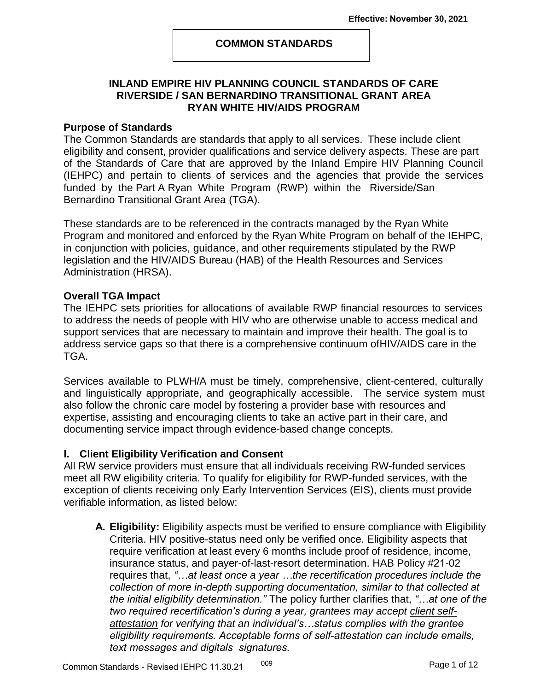### **COMMON STANDARDS**

## **INLAND EMPIRE HIV PLANNING COUNCIL STANDARDS OF CARE RIVERSIDE / SAN BERNARDINO TRANSITIONAL GRANT AREA RYAN WHITE HIV/AIDS PROGRAM**

#### **Purpose of Standards**

The Common Standards are standards that apply to all services. These include client eligibility and consent, provider qualifications and service delivery aspects. These are part of the Standards of Care that are approved by the Inland Empire HIV Planning Council (IEHPC) and pertain to clients of services and the agencies that provide the services funded by the Part A Ryan White Program (RWP) within the Riverside/San Bernardino Transitional Grant Area (TGA).

These standards are to be referenced in the contracts managed by the Ryan White Program and monitored and enforced by the Ryan White Program on behalf of the IEHPC, in conjunction with policies, guidance, and other requirements stipulated by the RWP legislation and the HIV/AIDS Bureau (HAB) of the Health Resources and Services Administration (HRSA).

### **Overall TGA Impact**

The IEHPC sets priorities for allocations of available RWP financial resources to services to address the needs of people with HIV who are otherwise unable to access medical and support services that are necessary to maintain and improve their health. The goal is to address service gaps so that there is a comprehensive continuum ofHIV/AIDS care in the TGA.

Services available to PLWH/A must be timely, comprehensive, client-centered, culturally and linguistically appropriate, and geographically accessible. The service system must also follow the chronic care model by fostering a provider base with resources and expertise, assisting and encouraging clients to take an active part in their care, and documenting service impact through evidence-based change concepts.

## **I. Client Eligibility Verification and Consent**

All RW service providers must ensure that all individuals receiving RW-funded services meet all RW eligibility criteria. To qualify for eligibility for RWP-funded services, with the exception of clients receiving only Early Intervention Services (EIS), clients must provide verifiable information, as listed below:

**A. Eligibility:** Eligibility aspects must be verified to ensure compliance with Eligibility Criteria. HIV positive-status need only be verified once. Eligibility aspects that require verification at least every 6 months include proof of residence, income, insurance status, and payer-of-last-resort determination. HAB Policy #21-02 requires that, *"…at least once a year …the recertification procedures include the collection of more in-depth supporting documentation, similar to that collected at the initial eligibility determination."* The policy further clarifies that, *"…at one of the two required recertification's during a year, grantees may accept client selfattestation for verifying that an individual's…status complies with the grantee eligibility requirements. Acceptable forms of self-attestation can include emails, text messages and digitals signatures.*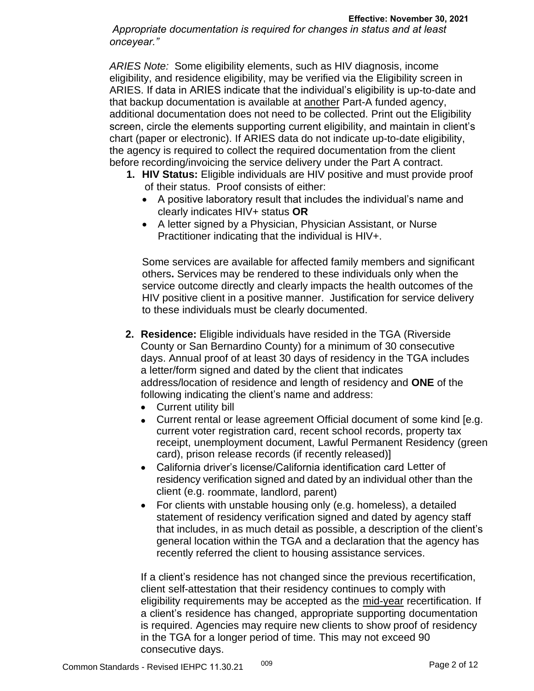*Appropriate documentation is required for changes in status and at least onceyear."*

*ARIES Note:* Some eligibility elements, such as HIV diagnosis, income eligibility, and residence eligibility, may be verified via the Eligibility screen in ARIES. If data in ARIES indicate that the individual's eligibility is up-to-date and that backup documentation is available at another Part-A funded agency, additional documentation does not need to be collected. Print out the Eligibility screen, circle the elements supporting current eligibility, and maintain in client's chart (paper or electronic). If ARIES data do not indicate up-to-date eligibility, the agency is required to collect the required documentation from the client before recording/invoicing the service delivery under the Part A contract.

- **1. HIV Status:** Eligible individuals are HIV positive and must provide proof of their status. Proof consists of either:
	- A positive laboratory result that includes the individual's name and clearly indicates HIV+ status **OR**
	- A letter signed by a Physician, Physician Assistant, or Nurse Practitioner indicating that the individual is HIV+.

Some services are available for affected family members and significant others**.** Services may be rendered to these individuals only when the service outcome directly and clearly impacts the health outcomes of the HIV positive client in a positive manner. Justification for service delivery to these individuals must be clearly documented.

- **2. Residence:** Eligible individuals have resided in the TGA (Riverside County or San Bernardino County) for a minimum of 30 consecutive days. Annual proof of at least 30 days of residency in the TGA includes a letter/form signed and dated by the client that indicates address/location of residence and length of residency and **ONE** of the following indicating the client's name and address:
	- Current utility bill
	- Current rental or lease agreement Official document of some kind [e.g. current voter registration card, recent school records, property tax receipt, unemployment document, Lawful Permanent Residency (green card), prison release records (if recently released)]
	- California driver's license/California identification card Letter of residency verification signed and dated by an individual other than the client (e.g. roommate, landlord, parent)
	- For clients with unstable housing only (e.g. homeless), a detailed statement of residency verification signed and dated by agency staff that includes, in as much detail as possible, a description of the client's general location within the TGA and a declaration that the agency has recently referred the client to housing assistance services.

If a client's residence has not changed since the previous recertification, client self-attestation that their residency continues to comply with eligibility requirements may be accepted as the mid-year recertification. If a client's residence has changed, appropriate supporting documentation is required. Agencies may require new clients to show proof of residency in the TGA for a longer period of time. This may not exceed 90 consecutive days.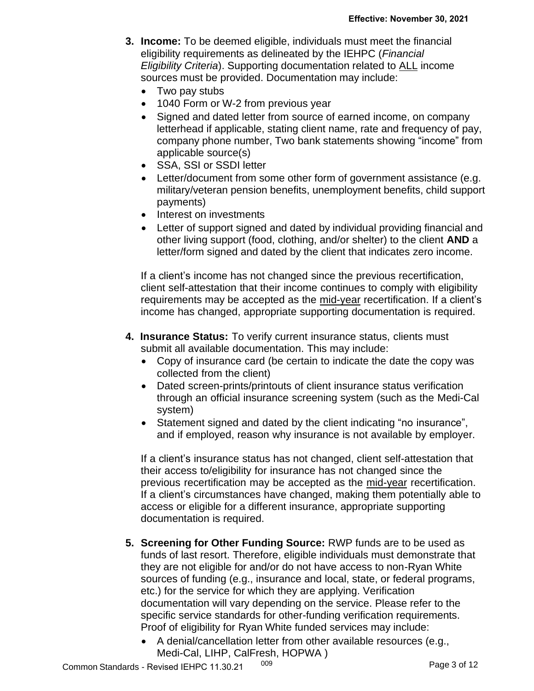- **3. Income:** To be deemed eligible, individuals must meet the financial eligibility requirements as delineated by the IEHPC (*Financial Eligibility Criteria*). Supporting documentation related to ALL income sources must be provided. Documentation may include:
	- Two pay stubs
	- 1040 Form or W-2 from previous year
	- Signed and dated letter from source of earned income, on company letterhead if applicable, stating client name, rate and frequency of pay, company phone number, Two bank statements showing "income" from applicable source(s)
	- SSA, SSI or SSDI letter
	- Letter/document from some other form of government assistance (e.g. military/veteran pension benefits, unemployment benefits, child support payments)
	- Interest on investments
	- Letter of support signed and dated by individual providing financial and other living support (food, clothing, and/or shelter) to the client **AND** a letter/form signed and dated by the client that indicates zero income.

If a client's income has not changed since the previous recertification, client self-attestation that their income continues to comply with eligibility requirements may be accepted as the mid-year recertification. If a client's income has changed, appropriate supporting documentation is required.

- **4. Insurance Status:** To verify current insurance status, clients must submit all available documentation. This may include:
	- Copy of insurance card (be certain to indicate the date the copy was collected from the client)
	- Dated screen-prints/printouts of client insurance status verification through an official insurance screening system (such as the Medi-Cal system)
	- Statement signed and dated by the client indicating "no insurance", and if employed, reason why insurance is not available by employer.

If a client's insurance status has not changed, client self-attestation that their access to/eligibility for insurance has not changed since the previous recertification may be accepted as the mid-year recertification. If a client's circumstances have changed, making them potentially able to access or eligible for a different insurance, appropriate supporting documentation is required.

- **5. Screening for Other Funding Source:** RWP funds are to be used as funds of last resort. Therefore, eligible individuals must demonstrate that they are not eligible for and/or do not have access to non-Ryan White sources of funding (e.g., insurance and local, state, or federal programs, etc.) for the service for which they are applying. Verification documentation will vary depending on the service. Please refer to the specific service standards for other-funding verification requirements. Proof of eligibility for Ryan White funded services may include:
	- A denial/cancellation letter from other available resources (e.g., Medi-Cal, LIHP, CalFresh, HOPWA )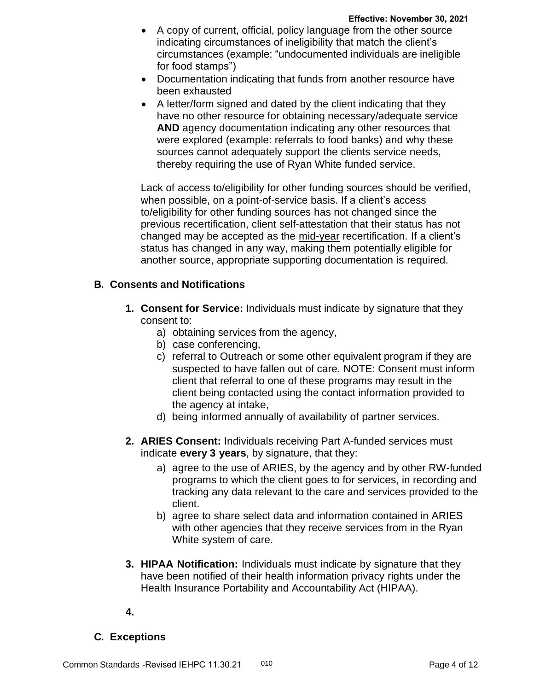- A copy of current, official, policy language from the other source indicating circumstances of ineligibility that match the client's circumstances (example: "undocumented individuals are ineligible for food stamps")
- Documentation indicating that funds from another resource have been exhausted
- A letter/form signed and dated by the client indicating that they have no other resource for obtaining necessary/adequate service **AND** agency documentation indicating any other resources that were explored (example: referrals to food banks) and why these sources cannot adequately support the clients service needs, thereby requiring the use of Ryan White funded service.

Lack of access to/eligibility for other funding sources should be verified, when possible, on a point-of-service basis. If a client's access to/eligibility for other funding sources has not changed since the previous recertification, client self-attestation that their status has not changed may be accepted as the mid-year recertification. If a client's status has changed in any way, making them potentially eligible for another source, appropriate supporting documentation is required.

## **B. Consents and Notifications**

- **1. Consent for Service:** Individuals must indicate by signature that they consent to:
	- a) obtaining services from the agency,
	- b) case conferencing,
	- c) referral to Outreach or some other equivalent program if they are suspected to have fallen out of care. NOTE: Consent must inform client that referral to one of these programs may result in the client being contacted using the contact information provided to the agency at intake,
	- d) being informed annually of availability of partner services.
- **2. ARIES Consent:** Individuals receiving Part A-funded services must indicate **every 3 years**, by signature, that they:
	- a) agree to the use of ARIES, by the agency and by other RW-funded programs to which the client goes to for services, in recording and tracking any data relevant to the care and services provided to the client.
	- b) agree to share select data and information contained in ARIES with other agencies that they receive services from in the Ryan White system of care.
- **3. HIPAA Notification:** Individuals must indicate by signature that they have been notified of their health information privacy rights under the Health Insurance Portability and Accountability Act (HIPAA).

**4.**

# **C. Exceptions**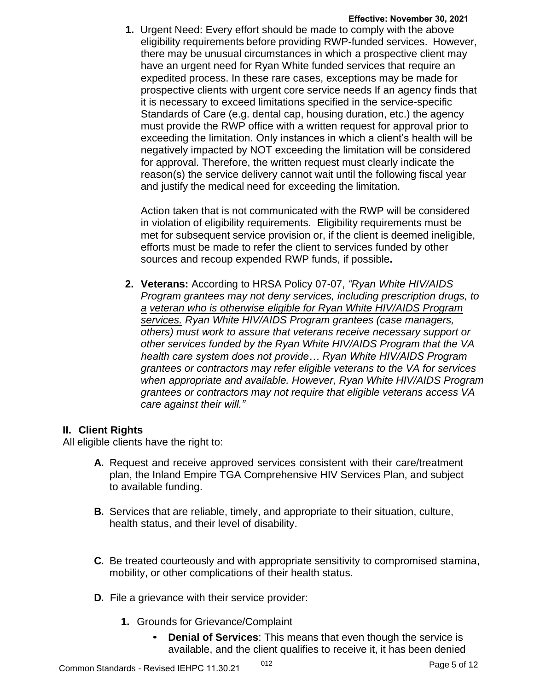**1.** Urgent Need: Every effort should be made to comply with the above eligibility requirements before providing RWP-funded services. However, there may be unusual circumstances in which a prospective client may have an urgent need for Ryan White funded services that require an expedited process. In these rare cases, exceptions may be made for prospective clients with urgent core service needs If an agency finds that it is necessary to exceed limitations specified in the service-specific Standards of Care (e.g. dental cap, housing duration, etc.) the agency must provide the RWP office with a written request for approval prior to exceeding the limitation. Only instances in which a client's health will be negatively impacted by NOT exceeding the limitation will be considered for approval. Therefore, the written request must clearly indicate the reason(s) the service delivery cannot wait until the following fiscal year and justify the medical need for exceeding the limitation.

Action taken that is not communicated with the RWP will be considered in violation of eligibility requirements. Eligibility requirements must be met for subsequent service provision or, if the client is deemed ineligible, efforts must be made to refer the client to services funded by other sources and recoup expended RWP funds, if possible**.**

**2. Veterans:** According to HRSA Policy 07-07, *"Ryan White HIV/AIDS Program grantees may not deny services, including prescription drugs, to a veteran who is otherwise eligible for Ryan White HIV/AIDS Program services. Ryan White HIV/AIDS Program grantees (case managers, others) must work to assure that veterans receive necessary support or other services funded by the Ryan White HIV/AIDS Program that the VA health care system does not provide… Ryan White HIV/AIDS Program grantees or contractors may refer eligible veterans to the VA for services when appropriate and available. However, Ryan White HIV/AIDS Program grantees or contractors may not require that eligible veterans access VA care against their will."*

## **II. Client Rights**

All eligible clients have the right to:

- **A.** Request and receive approved services consistent with their care/treatment plan, the Inland Empire TGA Comprehensive HIV Services Plan, and subject to available funding.
- **B.** Services that are reliable, timely, and appropriate to their situation, culture, health status, and their level of disability.
- **C.** Be treated courteously and with appropriate sensitivity to compromised stamina, mobility, or other complications of their health status.
- **D.** File a grievance with their service provider:
	- **1.** Grounds for Grievance/Complaint
		- **Denial of Services:** This means that even though the service is available, and the client qualifies to receive it, it has been denied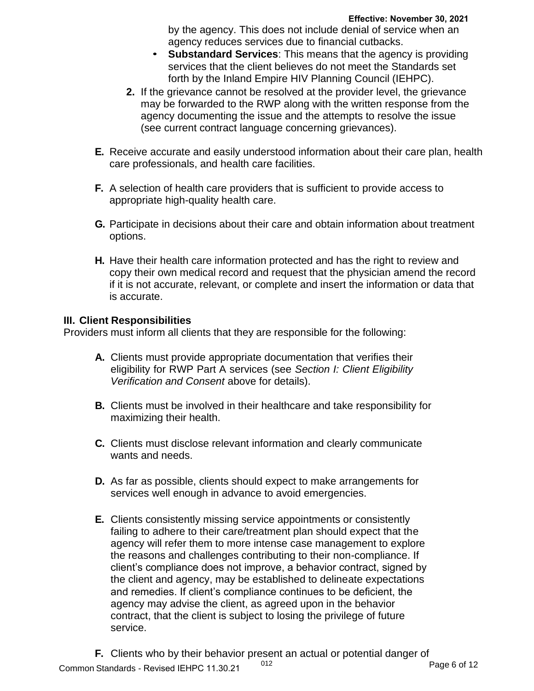by the agency. This does not include denial of service when an agency reduces services due to financial cutbacks.

- **Substandard Services**: This means that the agency is providing services that the client believes do not meet the Standards set forth by the Inland Empire HIV Planning Council (IEHPC).
- **2.** If the grievance cannot be resolved at the provider level, the grievance may be forwarded to the RWP along with the written response from the agency documenting the issue and the attempts to resolve the issue (see current contract language concerning grievances).
- **E.** Receive accurate and easily understood information about their care plan, health care professionals, and health care facilities.
- **F.** A selection of health care providers that is sufficient to provide access to appropriate high-quality health care.
- **G.** Participate in decisions about their care and obtain information about treatment options.
- **H.** Have their health care information protected and has the right to review and copy their own medical record and request that the physician amend the record if it is not accurate, relevant, or complete and insert the information or data that is accurate.

## **III. Client Responsibilities**

Providers must inform all clients that they are responsible for the following:

- **A.** Clients must provide appropriate documentation that verifies their eligibility for RWP Part A services (see *Section I: Client Eligibility Verification and Consent* above for details).
- **B.** Clients must be involved in their healthcare and take responsibility for maximizing their health.
- **C.** Clients must disclose relevant information and clearly communicate wants and needs.
- **D.** As far as possible, clients should expect to make arrangements for services well enough in advance to avoid emergencies.
- **E.** Clients consistently missing service appointments or consistently failing to adhere to their care/treatment plan should expect that the agency will refer them to more intense case management to explore the reasons and challenges contributing to their non-compliance. If client's compliance does not improve, a behavior contract, signed by the client and agency, may be established to delineate expectations and remedies. If client's compliance continues to be deficient, the agency may advise the client, as agreed upon in the behavior contract, that the client is subject to losing the privilege of future service.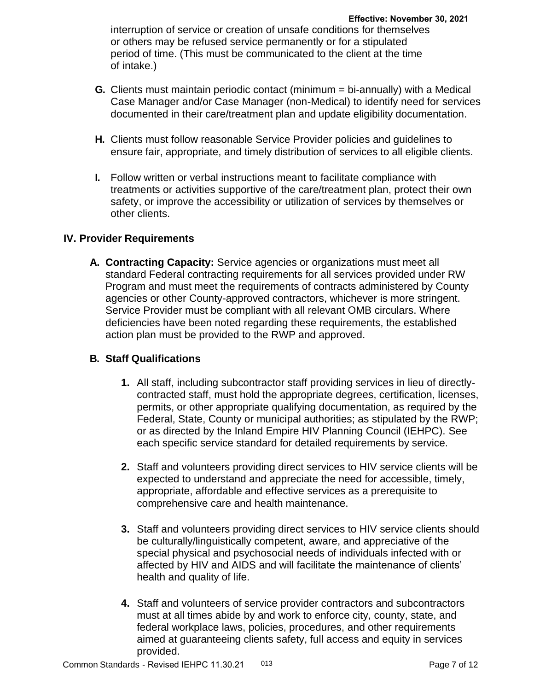interruption of service or creation of unsafe conditions for themselves or others may be refused service permanently or for a stipulated period of time. (This must be communicated to the client at the time of intake.)

- **G.** Clients must maintain periodic contact (minimum = bi-annually) with a Medical Case Manager and/or Case Manager (non-Medical) to identify need for services documented in their care/treatment plan and update eligibility documentation.
- **H.** Clients must follow reasonable Service Provider policies and guidelines to ensure fair, appropriate, and timely distribution of services to all eligible clients.
- **I.** Follow written or verbal instructions meant to facilitate compliance with treatments or activities supportive of the care/treatment plan, protect their own safety, or improve the accessibility or utilization of services by themselves or other clients.

### **IV. Provider Requirements**

**A. Contracting Capacity:** Service agencies or organizations must meet all standard Federal contracting requirements for all services provided under RW Program and must meet the requirements of contracts administered by County agencies or other County-approved contractors, whichever is more stringent. Service Provider must be compliant with all relevant OMB circulars. Where deficiencies have been noted regarding these requirements, the established action plan must be provided to the RWP and approved.

## **B. Staff Qualifications**

- **1.** All staff, including subcontractor staff providing services in lieu of directlycontracted staff, must hold the appropriate degrees, certification, licenses, permits, or other appropriate qualifying documentation, as required by the Federal, State, County or municipal authorities; as stipulated by the RWP; or as directed by the Inland Empire HIV Planning Council (IEHPC). See each specific service standard for detailed requirements by service.
- **2.** Staff and volunteers providing direct services to HIV service clients will be expected to understand and appreciate the need for accessible, timely, appropriate, affordable and effective services as a prerequisite to comprehensive care and health maintenance.
- **3.** Staff and volunteers providing direct services to HIV service clients should be culturally/linguistically competent, aware, and appreciative of the special physical and psychosocial needs of individuals infected with or affected by HIV and AIDS and will facilitate the maintenance of clients' health and quality of life.
- **4.** Staff and volunteers of service provider contractors and subcontractors must at all times abide by and work to enforce city, county, state, and federal workplace laws, policies, procedures, and other requirements aimed at guaranteeing clients safety, full access and equity in services provided.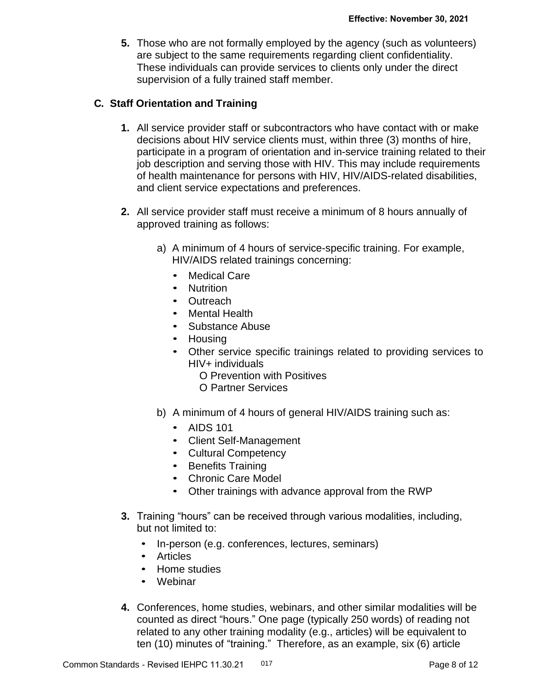**5.** Those who are not formally employed by the agency (such as volunteers) are subject to the same requirements regarding client confidentiality. These individuals can provide services to clients only under the direct supervision of a fully trained staff member.

## **C. Staff Orientation and Training**

- **1.** All service provider staff or subcontractors who have contact with or make decisions about HIV service clients must, within three (3) months of hire, participate in a program of orientation and in-service training related to their job description and serving those with HIV. This may include requirements of health maintenance for persons with HIV, HIV/AIDS-related disabilities, and client service expectations and preferences.
- **2.** All service provider staff must receive a minimum of 8 hours annually of approved training as follows:
	- a) A minimum of 4 hours of service-specific training. For example, HIV/AIDS related trainings concerning:
		- Medical Care
		- Nutrition
		- Outreach
		- Mental Health
		- Substance Abuse
		- Housing
		- Other service specific trainings related to providing services to HIV+ individuals
			- O Prevention with Positives
			- O Partner Services
	- b) A minimum of 4 hours of general HIV/AIDS training such as:
		- AIDS 101
		- Client Self-Management
		- Cultural Competency
		- Benefits Training
		- Chronic Care Model
		- Other trainings with advance approval from the RWP
- **3.** Training "hours" can be received through various modalities, including, but not limited to:
	- In-person (e.g. conferences, lectures, seminars)
	- Articles
	- Home studies
	- Webinar
- **4.** Conferences, home studies, webinars, and other similar modalities will be counted as direct "hours." One page (typically 250 words) of reading not related to any other training modality (e.g., articles) will be equivalent to ten (10) minutes of "training." Therefore, as an example, six (6) article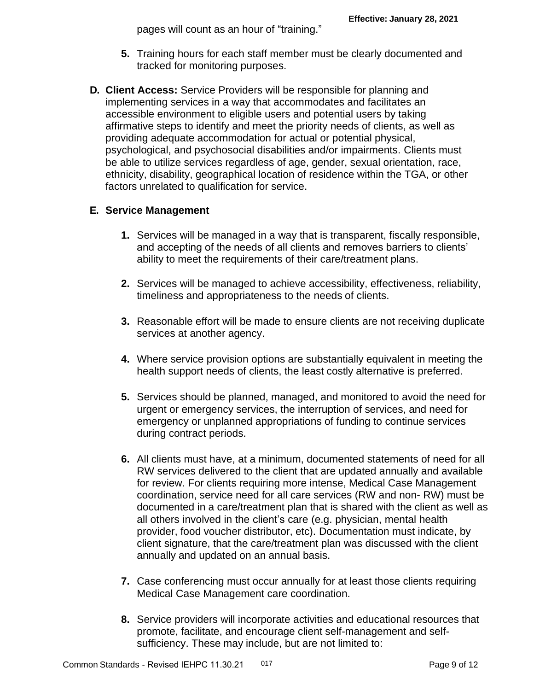pages will count as an hour of "training."

- **5.** Training hours for each staff member must be clearly documented and tracked for monitoring purposes.
- **D. Client Access:** Service Providers will be responsible for planning and implementing services in a way that accommodates and facilitates an accessible environment to eligible users and potential users by taking affirmative steps to identify and meet the priority needs of clients, as well as providing adequate accommodation for actual or potential physical, psychological, and psychosocial disabilities and/or impairments. Clients must be able to utilize services regardless of age, gender, sexual orientation, race, ethnicity, disability, geographical location of residence within the TGA, or other factors unrelated to qualification for service.

# **E. Service Management**

- **1.** Services will be managed in a way that is transparent, fiscally responsible, and accepting of the needs of all clients and removes barriers to clients' ability to meet the requirements of their care/treatment plans.
- **2.** Services will be managed to achieve accessibility, effectiveness, reliability, timeliness and appropriateness to the needs of clients.
- **3.** Reasonable effort will be made to ensure clients are not receiving duplicate services at another agency.
- **4.** Where service provision options are substantially equivalent in meeting the health support needs of clients, the least costly alternative is preferred.
- **5.** Services should be planned, managed, and monitored to avoid the need for urgent or emergency services, the interruption of services, and need for emergency or unplanned appropriations of funding to continue services during contract periods.
- **6.** All clients must have, at a minimum, documented statements of need for all RW services delivered to the client that are updated annually and available for review. For clients requiring more intense, Medical Case Management coordination, service need for all care services (RW and non- RW) must be documented in a care/treatment plan that is shared with the client as well as all others involved in the client's care (e.g. physician, mental health provider, food voucher distributor, etc). Documentation must indicate, by client signature, that the care/treatment plan was discussed with the client annually and updated on an annual basis.
- **7.** Case conferencing must occur annually for at least those clients requiring Medical Case Management care coordination.
- **8.** Service providers will incorporate activities and educational resources that promote, facilitate, and encourage client self-management and selfsufficiency. These may include, but are not limited to: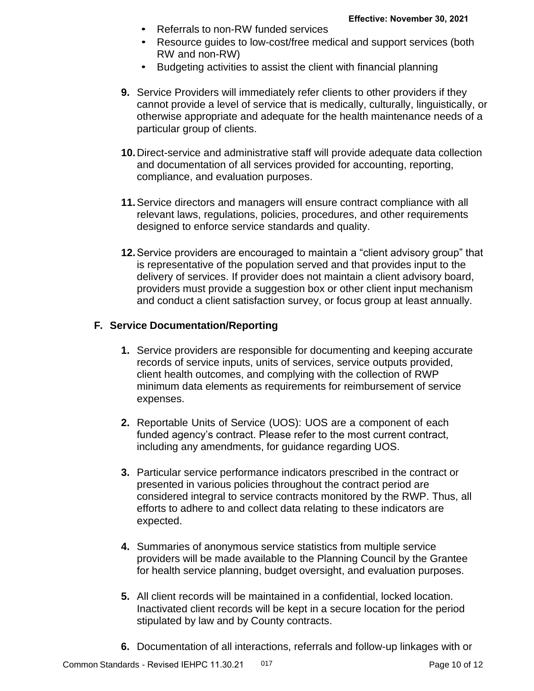- Referrals to non-RW funded services
- Resource guides to low-cost/free medical and support services (both RW and non-RW)
- Budgeting activities to assist the client with financial planning
- **9.** Service Providers will immediately refer clients to other providers if they cannot provide a level of service that is medically, culturally, linguistically, or otherwise appropriate and adequate for the health maintenance needs of a particular group of clients.
- **10.**Direct-service and administrative staff will provide adequate data collection and documentation of all services provided for accounting, reporting, compliance, and evaluation purposes.
- **11.**Service directors and managers will ensure contract compliance with all relevant laws, regulations, policies, procedures, and other requirements designed to enforce service standards and quality.
- **12.**Service providers are encouraged to maintain a "client advisory group" that is representative of the population served and that provides input to the delivery of services. If provider does not maintain a client advisory board, providers must provide a suggestion box or other client input mechanism and conduct a client satisfaction survey, or focus group at least annually.

## **F. Service Documentation/Reporting**

- **1.** Service providers are responsible for documenting and keeping accurate records of service inputs, units of services, service outputs provided, client health outcomes, and complying with the collection of RWP minimum data elements as requirements for reimbursement of service expenses.
- **2.** Reportable Units of Service (UOS): UOS are a component of each funded agency's contract. Please refer to the most current contract, including any amendments, for guidance regarding UOS.
- **3.** Particular service performance indicators prescribed in the contract or presented in various policies throughout the contract period are considered integral to service contracts monitored by the RWP. Thus, all efforts to adhere to and collect data relating to these indicators are expected.
- **4.** Summaries of anonymous service statistics from multiple service providers will be made available to the Planning Council by the Grantee for health service planning, budget oversight, and evaluation purposes.
- **5.** All client records will be maintained in a confidential, locked location. Inactivated client records will be kept in a secure location for the period stipulated by law and by County contracts.
- **6.** Documentation of all interactions, referrals and follow-up linkages with or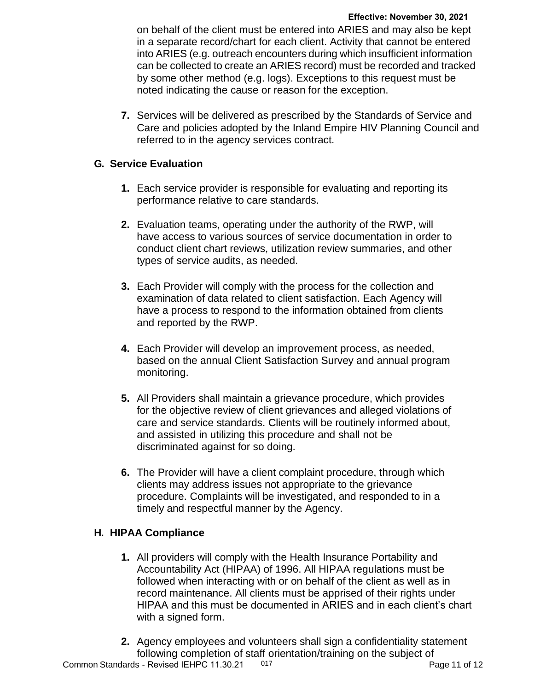on behalf of the client must be entered into ARIES and may also be kept in a separate record/chart for each client. Activity that cannot be entered into ARIES (e.g. outreach encounters during which insufficient information can be collected to create an ARIES record) must be recorded and tracked by some other method (e.g. logs). Exceptions to this request must be noted indicating the cause or reason for the exception.

**7.** Services will be delivered as prescribed by the Standards of Service and Care and policies adopted by the Inland Empire HIV Planning Council and referred to in the agency services contract.

## **G. Service Evaluation**

- **1.** Each service provider is responsible for evaluating and reporting its performance relative to care standards.
- **2.** Evaluation teams, operating under the authority of the RWP, will have access to various sources of service documentation in order to conduct client chart reviews, utilization review summaries, and other types of service audits, as needed.
- **3.** Each Provider will comply with the process for the collection and examination of data related to client satisfaction. Each Agency will have a process to respond to the information obtained from clients and reported by the RWP.
- **4.** Each Provider will develop an improvement process, as needed, based on the annual Client Satisfaction Survey and annual program monitoring.
- **5.** All Providers shall maintain a grievance procedure, which provides for the objective review of client grievances and alleged violations of care and service standards. Clients will be routinely informed about, and assisted in utilizing this procedure and shall not be discriminated against for so doing.
- **6.** The Provider will have a client complaint procedure, through which clients may address issues not appropriate to the grievance procedure. Complaints will be investigated, and responded to in a timely and respectful manner by the Agency.

# **H. HIPAA Compliance**

- **1.** All providers will comply with the Health Insurance Portability and Accountability Act (HIPAA) of 1996. All HIPAA regulations must be followed when interacting with or on behalf of the client as well as in record maintenance. All clients must be apprised of their rights under HIPAA and this must be documented in ARIES and in each client's chart with a signed form.
- Common Standards Revised IEHPC 11.30.21 017 **2.** Agency employees and volunteers shall sign a confidentiality statement following completion of staff orientation/training on the subject of